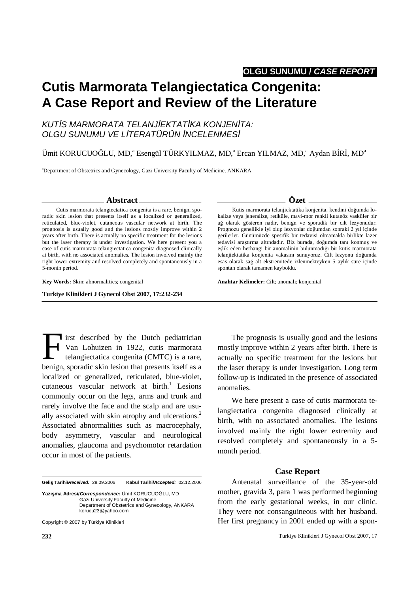**OLGU SUNUMU / CASE REPORT.** 

## **Cutis Marmorata Telangiectatica Congenita: A Case Report and Review of the Literature**

#### KUTIS MARMORATA TELANJIEKTATIKA KONJENITA: OLGU SUNUMU VE LÍTERATÜRÜN İNCELENMESİ

Ümit KORUCUOĞLU, MD,<sup>a</sup> Esengül TÜRKYILMAZ, MD,<sup>a</sup> Ercan YILMAZ, MD,<sup>a</sup> Aydan BİRİ, MD<sup>a</sup>

<sup>a</sup>Department of Obstetrics and Gynecology, Gazi University Faculty of Medicine, ANKARA

#### **Abstract**

Cutis marmorata telangiectatica congenita is a rare, benign, sporadic skin lesion that presents itself as a localized or generalized, reticulated, blue-violet, cutaneous vascular network at birth. The prognosis is usually good and the lesions mostly improve within 2 years after birth. There is actually no specific treatment for the lesions but the laser therapy is under investigation. We here present you a case of cutis marmorata telangiectatica congenita diagnosed clinically at birth, with no associated anomalies. The lesion involved mainly the right lower extremity and resolved completely and spontaneously in a 5-month period.

**Key Words:** Skin; abnormalities; congenital

**Turkiye Klinikleri J Gynecol Obst 2007, 17:232-234**

Irst described by the Dutch pediatrician Van Lohuizen in 1922, cutis marmorata telangiectatica congenita (CMTC) is a rare, Itst described by the Dutch pediatrician<br>Van Lohuizen in 1922, cutis marmorata<br>telangiectatica congenita (CMTC) is a rare,<br>benign, sporadic skin lesion that presents itself as a localized or generalized, reticulated, blue-violet, cutaneous vascular network at  $birth.^1$  Lesions commonly occur on the legs, arms and trunk and rarely involve the face and the scalp and are usually associated with skin atrophy and ulcerations.<sup>2</sup> Associated abnormalities such as macrocephaly, body asymmetry, vascular and neurological anomalies, glaucoma and psychomotor retardation occur in most of the patients.

**Geli**ş **Tarihi/Received:** 28.09.2006 **Kabul Tarihi/Accepted:** 02.12.2006

**Yazı**ş**ma Adresi/Correspondence:** Ümit KORUCUOĞLU, MD Gazi University Faculty of Medicine Department of Obstetrics and Gynecology, ANKARA korucu23@yahoo.com

Copyright © 2007 by Türkiye Klinikleri

The prognosis is usually good and the lesions mostly improve within 2 years after birth. There is actually no specific treatment for the lesions but the laser therapy is under investigation. Long term follow-up is indicated in the presence of associated

We here present a case of cutis marmorata telangiectatica congenita diagnosed clinically at birth, with no associated anomalies. The lesions involved mainly the right lower extremity and resolved completely and spontaneously in a 5 month period.

#### **Case Report**

Antenatal surveillance of the 35-year-old mother, gravida 3, para 1 was performed beginning from the early gestational weeks, in our clinic. They were not consanguineous with her husband. Her first pregnancy in 2001 ended up with a spon-

#### esas olarak sağ alt ekstremitede izlenmekteyken 5 aylık süre içinde

**Anahtar Kelimeler:** Cilt; anomali; konjenital

spontan olarak tamamen kayboldu.

# anomalies.

### **Özet**

Kutis marmorata telanjiektatika konjenita, kendini doğumda lokalize veya jeneralize, retiküle, mavi-mor renkli kutanöz vasküler bir ağ olarak gösteren nadir, benign ve sporadik bir cilt lezyonudur. Prognozu genellikle iyi olup lezyonlar doğumdan sonraki 2 yıl içinde gerilerler. Günümüzde spesifik bir tedavisi olmamakla birlikte lazer tedavisi araştırma altındadır. Biz burada, doğumda tanı konmuş ve eşlik eden herhangi bir anomalinin bulunmadığı bir kutis marmorata telanjiektatika konjenita vakasını sunuyoruz. Cilt lezyonu doğumda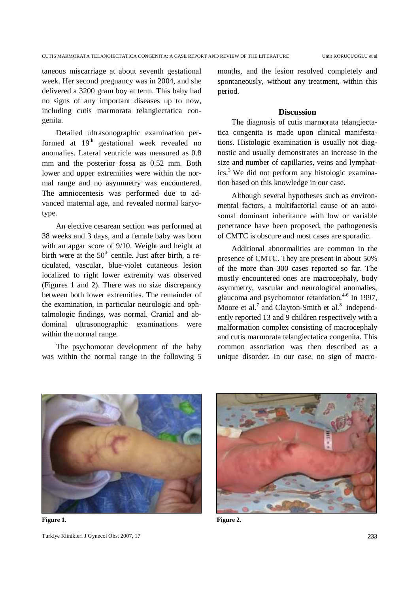taneous miscarriage at about seventh gestational week. Her second pregnancy was in 2004, and she delivered a 3200 gram boy at term. This baby had no signs of any important diseases up to now, including cutis marmorata telangiectatica congenita.

Detailed ultrasonographic examination performed at  $19<sup>th</sup>$  gestational week revealed no anomalies. Lateral ventricle was measured as 0.8 mm and the posterior fossa as 0.52 mm. Both lower and upper extremities were within the normal range and no asymmetry was encountered. The amniocentesis was performed due to advanced maternal age, and revealed normal karyotype.

An elective cesarean section was performed at 38 weeks and 3 days, and a female baby was born with an apgar score of 9/10. Weight and height at birth were at the  $50<sup>th</sup>$  centile. Just after birth, a reticulated, vascular, blue-violet cutaneous lesion localized to right lower extremity was observed (Figures 1 and 2). There was no size discrepancy between both lower extremities. The remainder of the examination, in particular neurologic and ophtalmologic findings, was normal. Cranial and abdominal ultrasonographic examinations were within the normal range.

The psychomotor development of the baby was within the normal range in the following 5

months, and the lesion resolved completely and spontaneously, without any treatment, within this period.

#### **Discussion**

The diagnosis of cutis marmorata telangiectatica congenita is made upon clinical manifestations. Histologic examination is usually not diagnostic and usually demonstrates an increase in the size and number of capillaries, veins and lymphatics.<sup>3</sup> We did not perform any histologic examination based on this knowledge in our case.

Although several hypotheses such as environmental factors, a multifactorial cause or an autosomal dominant inheritance with low or variable penetrance have been proposed, the pathogenesis of CMTC is obscure and most cases are sporadic.

Additional abnormalities are common in the presence of CMTC. They are present in about 50% of the more than 300 cases reported so far. The mostly encountered ones are macrocephaly, body asymmetry, vascular and neurological anomalies, glaucoma and psychomotor retardation. $4-6$  In 1997, Moore et al.<sup>7</sup> and Clayton-Smith et al.<sup>8</sup> independently reported 13 and 9 children respectively with a malformation complex consisting of macrocephaly and cutis marmorata telangiectatica congenita. This common association was then described as a unique disorder. In our case, no sign of macro-



Turkiye Klinikleri J Gynecol Obst 2007, 17 **233** Figure 1. Figure 2.